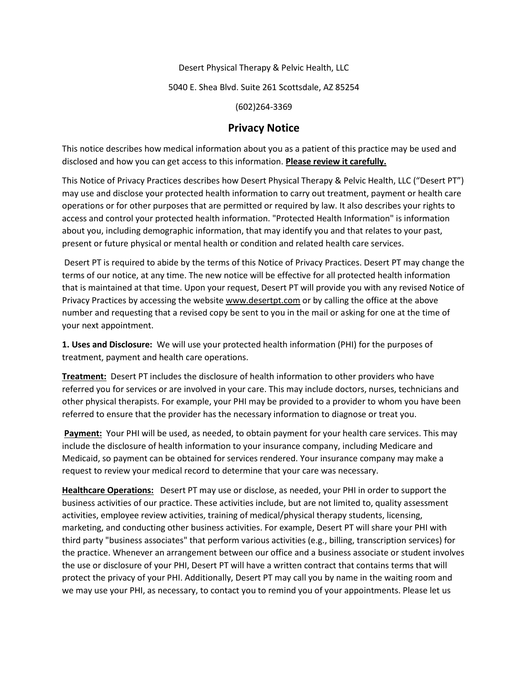Desert Physical Therapy & Pelvic Health, LLC

5040 E. Shea Blvd. Suite 261 Scottsdale, AZ 85254

(602)264-3369

## **Privacy Notice**

This notice describes how medical information about you as a patient of this practice may be used and disclosed and how you can get access to this information. **Please review it carefully.**

This Notice of Privacy Practices describes how Desert Physical Therapy & Pelvic Health, LLC ("Desert PT") may use and disclose your protected health information to carry out treatment, payment or health care operations or for other purposes that are permitted or required by law. It also describes your rights to access and control your protected health information. "Protected Health Information" is information about you, including demographic information, that may identify you and that relates to your past, present or future physical or mental health or condition and related health care services.

 Desert PT is required to abide by the terms of this Notice of Privacy Practices. Desert PT may change the terms of our notice, at any time. The new notice will be effective for all protected health information that is maintained at that time. Upon your request, Desert PT will provide you with any revised Notice of Privacy Practices by accessing the website www.desertpt.com or by calling the office at the above number and requesting that a revised copy be sent to you in the mail or asking for one at the time of your next appointment.

**1. Uses and Disclosure:** We will use your protected health information (PHI) for the purposes of treatment, payment and health care operations.

**Treatment:** Desert PT includes the disclosure of health information to other providers who have referred you for services or are involved in your care. This may include doctors, nurses, technicians and other physical therapists. For example, your PHI may be provided to a provider to whom you have been referred to ensure that the provider has the necessary information to diagnose or treat you.

**Payment:** Your PHI will be used, as needed, to obtain payment for your health care services. This may include the disclosure of health information to your insurance company, including Medicare and Medicaid, so payment can be obtained for services rendered. Your insurance company may make a request to review your medical record to determine that your care was necessary.

**Healthcare Operations:** Desert PT may use or disclose, as needed, your PHI in order to support the business activities of our practice. These activities include, but are not limited to, quality assessment activities, employee review activities, training of medical/physical therapy students, licensing, marketing, and conducting other business activities. For example, Desert PT will share your PHI with third party "business associates" that perform various activities (e.g., billing, transcription services) for the practice. Whenever an arrangement between our office and a business associate or student involves the use or disclosure of your PHI, Desert PT will have a written contract that contains terms that will protect the privacy of your PHI. Additionally, Desert PT may call you by name in the waiting room and we may use your PHI, as necessary, to contact you to remind you of your appointments. Please let us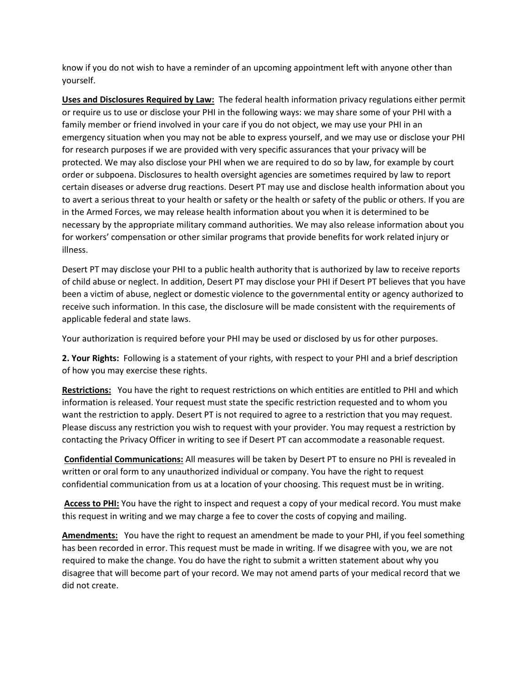know if you do not wish to have a reminder of an upcoming appointment left with anyone other than yourself.

**Uses and Disclosures Required by Law:** The federal health information privacy regulations either permit or require us to use or disclose your PHI in the following ways: we may share some of your PHI with a family member or friend involved in your care if you do not object, we may use your PHI in an emergency situation when you may not be able to express yourself, and we may use or disclose your PHI for research purposes if we are provided with very specific assurances that your privacy will be protected. We may also disclose your PHI when we are required to do so by law, for example by court order or subpoena. Disclosures to health oversight agencies are sometimes required by law to report certain diseases or adverse drug reactions. Desert PT may use and disclose health information about you to avert a serious threat to your health or safety or the health or safety of the public or others. If you are in the Armed Forces, we may release health information about you when it is determined to be necessary by the appropriate military command authorities. We may also release information about you for workers' compensation or other similar programs that provide benefits for work related injury or illness.

Desert PT may disclose your PHI to a public health authority that is authorized by law to receive reports of child abuse or neglect. In addition, Desert PT may disclose your PHI if Desert PT believes that you have been a victim of abuse, neglect or domestic violence to the governmental entity or agency authorized to receive such information. In this case, the disclosure will be made consistent with the requirements of applicable federal and state laws.

Your authorization is required before your PHI may be used or disclosed by us for other purposes.

**2. Your Rights:** Following is a statement of your rights, with respect to your PHI and a brief description of how you may exercise these rights.

**Restrictions:** You have the right to request restrictions on which entities are entitled to PHI and which information is released. Your request must state the specific restriction requested and to whom you want the restriction to apply. Desert PT is not required to agree to a restriction that you may request. Please discuss any restriction you wish to request with your provider. You may request a restriction by contacting the Privacy Officer in writing to see if Desert PT can accommodate a reasonable request.

**Confidential Communications:** All measures will be taken by Desert PT to ensure no PHI is revealed in written or oral form to any unauthorized individual or company. You have the right to request confidential communication from us at a location of your choosing. This request must be in writing.

**Access to PHI:** You have the right to inspect and request a copy of your medical record. You must make this request in writing and we may charge a fee to cover the costs of copying and mailing.

**Amendments:** You have the right to request an amendment be made to your PHI, if you feel something has been recorded in error. This request must be made in writing. If we disagree with you, we are not required to make the change. You do have the right to submit a written statement about why you disagree that will become part of your record. We may not amend parts of your medical record that we did not create.